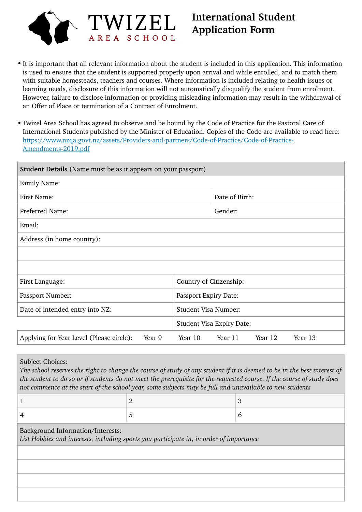

# **International Student Application Form**

- It is important that all relevant information about the student is included in this application. This information is used to ensure that the student is supported properly upon arrival and while enrolled, and to match them with suitable homesteads, teachers and courses. Where information is included relating to health issues or learning needs, disclosure of this information will not automatically disqualify the student from enrolment. However, failure to disclose information or providing misleading information may result in the withdrawal of an Offer of Place or termination of a Contract of Enrolment.
- Twizel Area School has agreed to observe and be bound by the Code of Practice for the Pastoral Care of International Students published by the Minister of Education. Copies of the Code are available to read here: [https://www.nzqa.govt.nz/assets/Providers-and-partners/Code-of-Practice/Code-of-Practice-](https://www.nzqa.govt.nz/assets/Providers-and-partners/Code-of-Practice/Code-of-Practice-Amendments-2019.pdf)[Amendments-2019.pdf](https://www.nzqa.govt.nz/assets/Providers-and-partners/Code-of-Practice/Code-of-Practice-Amendments-2019.pdf)

| <b>Student Details</b> (Name must be as it appears on your passport) |                                          |  |  |
|----------------------------------------------------------------------|------------------------------------------|--|--|
| Family Name:                                                         |                                          |  |  |
| First Name:                                                          | Date of Birth:                           |  |  |
| Preferred Name:                                                      | Gender:                                  |  |  |
| Email:                                                               |                                          |  |  |
| Address (in home country):                                           |                                          |  |  |
|                                                                      |                                          |  |  |
|                                                                      |                                          |  |  |
| First Language:                                                      | Country of Citizenship:                  |  |  |
| Passport Number:                                                     | Passport Expiry Date:                    |  |  |
| Date of intended entry into NZ:                                      | Student Visa Number:                     |  |  |
|                                                                      | <b>Student Visa Expiry Date:</b>         |  |  |
| Applying for Year Level (Please circle):<br>Year 9                   | Year 10<br>Year 12<br>Year 13<br>Year 11 |  |  |

Subject Choices:

*The school reserves the right to change the course of study of any student if it is deemed to be in the best interest of the student to do so or if students do not meet the prerequisite for the requested course. If the course of study does not commence at the start of the school year, some subjects may be full and unavailable to new students*

Background Information/Interests: *List Hobbies and interests, including sports you participate in, in order of importance*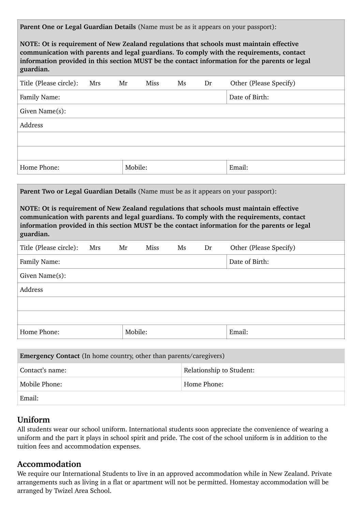| Parent One or Legal Guardian Details (Name must be as it appears on your passport):                                                                                                                                                                                                               |         |             |    |    |                        |
|---------------------------------------------------------------------------------------------------------------------------------------------------------------------------------------------------------------------------------------------------------------------------------------------------|---------|-------------|----|----|------------------------|
| NOTE: Ot is requirement of New Zealand regulations that schools must maintain effective<br>communication with parents and legal guardians. To comply with the requirements, contact<br>information provided in this section MUST be the contact information for the parents or legal<br>guardian. |         |             |    |    |                        |
| Title (Please circle):<br>Mrs                                                                                                                                                                                                                                                                     | Mr      | Miss        | Ms | Dr | Other (Please Specify) |
| Family Name:                                                                                                                                                                                                                                                                                      |         |             |    |    | Date of Birth:         |
| Given Name(s):                                                                                                                                                                                                                                                                                    |         |             |    |    |                        |
| Address                                                                                                                                                                                                                                                                                           |         |             |    |    |                        |
|                                                                                                                                                                                                                                                                                                   |         |             |    |    |                        |
|                                                                                                                                                                                                                                                                                                   |         |             |    |    |                        |
| Home Phone:                                                                                                                                                                                                                                                                                       | Mobile: |             |    |    | Email:                 |
|                                                                                                                                                                                                                                                                                                   |         |             |    |    |                        |
| Parent Two or Legal Guardian Details (Name must be as it appears on your passport):                                                                                                                                                                                                               |         |             |    |    |                        |
| NOTE: Ot is requirement of New Zealand regulations that schools must maintain effective<br>communication with parents and legal guardians. To comply with the requirements, contact<br>information provided in this section MUST be the contact information for the parents or legal<br>guardian. |         |             |    |    |                        |
| Title (Please circle):<br>Mrs                                                                                                                                                                                                                                                                     | Mr      | <b>Miss</b> | Ms | Dr | Other (Please Specify) |
| Family Name:                                                                                                                                                                                                                                                                                      |         |             |    |    | Date of Birth:         |
| Given Name(s):                                                                                                                                                                                                                                                                                    |         |             |    |    |                        |
| Address                                                                                                                                                                                                                                                                                           |         |             |    |    |                        |
|                                                                                                                                                                                                                                                                                                   |         |             |    |    |                        |
|                                                                                                                                                                                                                                                                                                   |         |             |    |    |                        |
| Home Phone:                                                                                                                                                                                                                                                                                       | Mobile: |             |    |    | Email:                 |
|                                                                                                                                                                                                                                                                                                   |         |             |    |    |                        |

| <b>Emergency Contact</b> (In home country, other than parents/caregivers) |                          |  |
|---------------------------------------------------------------------------|--------------------------|--|
| Contact's name:                                                           | Relationship to Student: |  |
| Mobile Phone:                                                             | Home Phone:              |  |
| Email:                                                                    |                          |  |

### **Uniform**

All students wear our school uniform. International students soon appreciate the convenience of wearing a uniform and the part it plays in school spirit and pride. The cost of the school uniform is in addition to the tuition fees and accommodation expenses.

### **Accommodation**

We require our International Students to live in an approved accommodation while in New Zealand. Private arrangements such as living in a flat or apartment will not be permitted. Homestay accommodation will be arranged by Twizel Area School.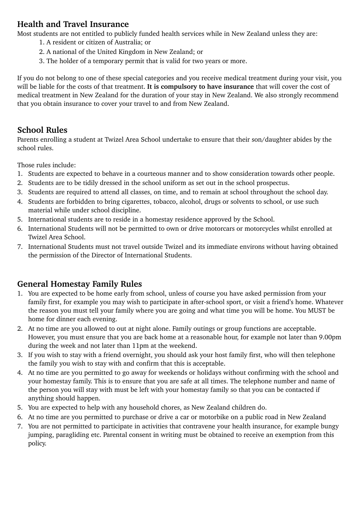### **Health and Travel Insurance**

Most students are not entitled to publicly funded health services while in New Zealand unless they are:

- 1. A resident or citizen of Australia; or
- 2. A national of the United Kingdom in New Zealand; or
- 3. The holder of a temporary permit that is valid for two years or more.

If you do not belong to one of these special categories and you receive medical treatment during your visit, you will be liable for the costs of that treatment. **It is compulsory to have insurance** that will cover the cost of medical treatment in New Zealand for the duration of your stay in New Zealand. We also strongly recommend that you obtain insurance to cover your travel to and from New Zealand.

#### **School Rules**

Parents enrolling a student at Twizel Area School undertake to ensure that their son/daughter abides by the school rules.

Those rules include:

- 1. Students are expected to behave in a courteous manner and to show consideration towards other people.
- 2. Students are to be tidily dressed in the school uniform as set out in the school prospectus.
- 3. Students are required to attend all classes, on time, and to remain at school throughout the school day.
- 4. Students are forbidden to bring cigarettes, tobacco, alcohol, drugs or solvents to school, or use such material while under school discipline.
- 5. International students are to reside in a homestay residence approved by the School.
- 6. International Students will not be permitted to own or drive motorcars or motorcycles whilst enrolled at Twizel Area School.
- 7. International Students must not travel outside Twizel and its immediate environs without having obtained the permission of the Director of International Students.

## **General Homestay Family Rules**

- 1. You are expected to be home early from school, unless of course you have asked permission from your family first, for example you may wish to participate in after-school sport, or visit a friend's home. Whatever the reason you must tell your family where you are going and what time you will be home. You MUST be home for dinner each evening.
- 2. At no time are you allowed to out at night alone. Family outings or group functions are acceptable. However, you must ensure that you are back home at a reasonable hour, for example not later than 9.00pm during the week and not later than 11pm at the weekend.
- 3. If you wish to stay with a friend overnight, you should ask your host family first, who will then telephone the family you wish to stay with and confirm that this is acceptable.
- 4. At no time are you permitted to go away for weekends or holidays without confirming with the school and your homestay family. This is to ensure that you are safe at all times. The telephone number and name of the person you will stay with must be left with your homestay family so that you can be contacted if anything should happen.
- 5. You are expected to help with any household chores, as New Zealand children do.
- 6. At no time are you permitted to purchase or drive a car or motorbike on a public road in New Zealand
- 7. You are not permitted to participate in activities that contravene your health insurance, for example bungy jumping, paragliding etc. Parental consent in writing must be obtained to receive an exemption from this policy.